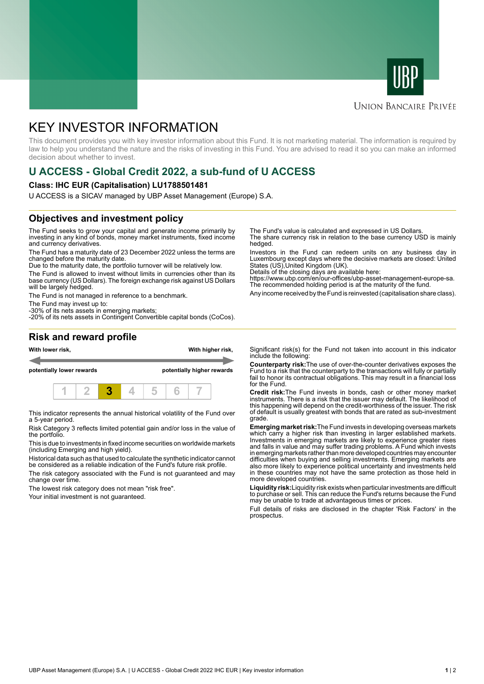



### **UNION BANCAIRE PRIVÉE**

# KEY INVESTOR INFORMATION

This document provides you with key investor information about this Fund. It is not marketing material. The information is required by law to help you understand the nature and the risks of investing in this Fund. You are advised to read it so you can make an informed decision about whether to invest.

# **U ACCESS - Global Credit 2022, a sub-fund of U ACCESS**

#### **Class: IHC EUR (Capitalisation) LU1788501481**

U ACCESS is a SICAV managed by UBP Asset Management (Europe) S.A.

## **Objectives and investment policy**

The Fund seeks to grow your capital and generate income primarily by investing in any kind of bonds, money market instruments, fixed income and currency derivatives.

The Fund has a maturity date of 23 December 2022 unless the terms are changed before the maturity date.

Due to the maturity date, the portfolio turnover will be relatively low.

The Fund is allowed to invest without limits in currencies other than its base currency (US Dollars). The foreign exchange risk against US Dollars will be largely hedged.

The Fund is not managed in reference to a benchmark.

The Fund may invest up to:

-30% of its nets assets in emerging markets; -20% of its nets assets in Contingent Convertible capital bonds (CoCos). The Fund's value is calculated and expressed in US Dollars.

The share currency risk in relation to the base currency USD is mainly hedged.

Investors in the Fund can redeem units on any business day in Luxembourg except days where the decisive markets are closed: United States (US),United Kingdom (UK).

Details of the closing days are available here:

https://www.ubp.com/en/our-offices/ubp-asset-management-europe-sa. The recommended holding period is at the maturity of the fund.

Any income received by the Fund is reinvested (capitalisation share class).

### **Risk and reward profile**



This indicator represents the annual historical volatility of the Fund over a 5-year period.

Risk Category 3 reflects limited potential gain and/or loss in the value of the portfolio.

This is due to investments in fixed income securities on worldwide markets (including Emerging and high yield).

Historical data such as that used to calculate the synthetic indicator cannot be considered as a reliable indication of the Fund's future risk profile.

The risk category associated with the Fund is not guaranteed and may change over time.

The lowest risk category does not mean "risk free".

Your initial investment is not guaranteed.

Significant risk(s) for the Fund not taken into account in this indicator include the following:

**Counterparty risk:**The use of over-the-counter derivatives exposes the Fund to a risk that the counterparty to the transactions will fully or partially fail to honor its contractual obligations. This may result in a financial loss for the Fund.

**Credit risk:**The Fund invests in bonds, cash or other money market instruments. There is a risk that the issuer may default. The likelihood of this happening will depend on the credit-worthiness of the issuer. The risk of default is usually greatest with bonds that are rated as sub-investment grade.

**Emerging market risk:**The Fund invests in developing overseas markets which carry a higher risk than investing in larger established markets. Investments in emerging markets are likely to experience greater rises and falls in value and may suffer trading problems. A Fund which invests in emerging markets rather than more developed countries may encounter difficulties when buying and selling investments. Emerging markets are also more likely to experience political uncertainty and investments held in these countries may not have the same protection as those held in more developed countries.

**Liquidity risk:**Liquidity risk exists when particular investments are difficult to purchase or sell. This can reduce the Fund's returns because the Fund may be unable to trade at advantageous times or prices

Full details of risks are disclosed in the chapter 'Risk Factors' in the prospectus.